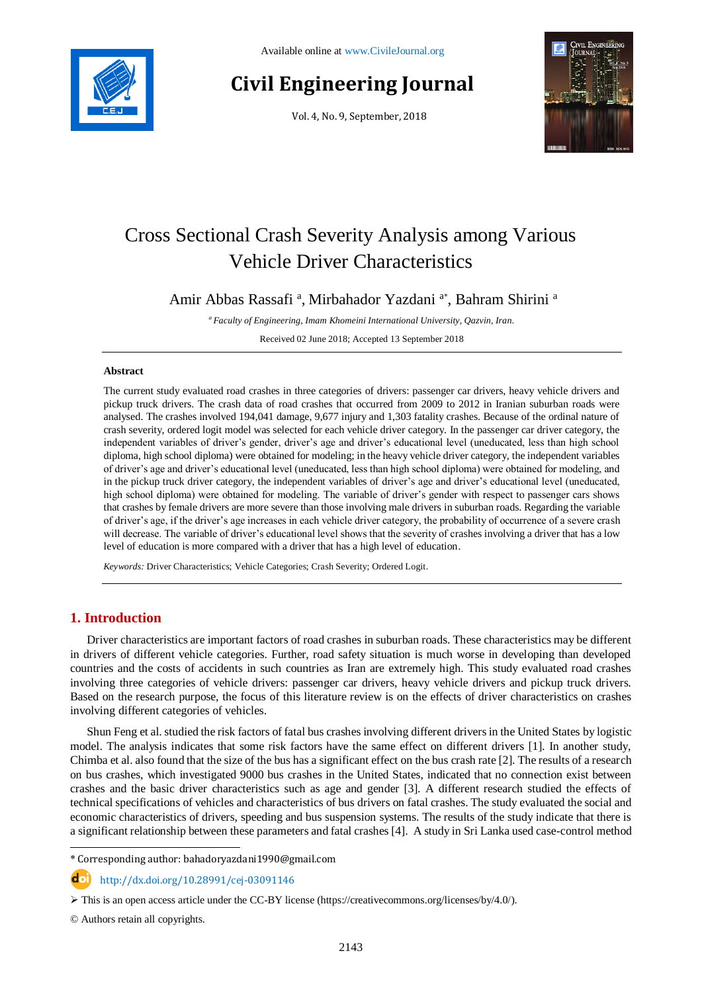

# **Civil Engineering Journal**

Vol. 4, No. 9, September, 2018



# Cross Sectional Crash Severity Analysis among Various Vehicle Driver Characteristics

Amir Abbas Rassafi<sup>a</sup>, Mirbahador Yazdani<sup>a\*</sup>, Bahram Shirini<sup>a</sup>

*<sup>a</sup> Faculty of Engineering, Imam Khomeini International University, Qazvin, Iran.*

Received 02 June 2018; Accepted 13 September 2018

#### **Abstract**

The current study evaluated road crashes in three categories of drivers: passenger car drivers, heavy vehicle drivers and pickup truck drivers. The crash data of road crashes that occurred from 2009 to 2012 in Iranian suburban roads were analysed. The crashes involved 194,041 damage, 9,677 injury and 1,303 fatality crashes. Because of the ordinal nature of crash severity, ordered logit model was selected for each vehicle driver category. In the passenger car driver category, the independent variables of driver's gender, driver's age and driver's educational level (uneducated, less than high school diploma, high school diploma) were obtained for modeling; in the heavy vehicle driver category, the independent variables of driver's age and driver's educational level (uneducated, less than high school diploma) were obtained for modeling, and in the pickup truck driver category, the independent variables of driver's age and driver's educational level (uneducated, high school diploma) were obtained for modeling. The variable of driver's gender with respect to passenger cars shows that crashes by female drivers are more severe than those involving male drivers in suburban roads. Regarding the variable of driver's age, if the driver's age increases in each vehicle driver category, the probability of occurrence of a severe crash will decrease. The variable of driver's educational level shows that the severity of crashes involving a driver that has a low level of education is more compared with a driver that has a high level of education.

*Keywords:* Driver Characteristics; Vehicle Categories; Crash Severity; Ordered Logit.

## **1. Introduction**

Driver characteristics are important factors of road crashes in suburban roads. These characteristics may be different in drivers of different vehicle categories. Further, road safety situation is much worse in developing than developed countries and the costs of accidents in such countries as Iran are extremely high. This study evaluated road crashes involving three categories of vehicle drivers: passenger car drivers, heavy vehicle drivers and pickup truck drivers. Based on the research purpose, the focus of this literature review is on the effects of driver characteristics on crashes involving different categories of vehicles.

Shun Feng et al. studied the risk factors of fatal bus crashes involving different drivers in the United States by logistic model. The analysis indicates that some risk factors have the same effect on different drivers [1]. In another study, Chimba et al. also found that the size of the bus has a significant effect on the bus crash rate [2]. The results of a research on bus crashes, which investigated 9000 bus crashes in the United States, indicated that no connection exist between crashes and the basic driver characteristics such as age and gender [3]. A different research studied the effects of technical specifications of vehicles and characteristics of bus drivers on fatal crashes. The study evaluated the social and economic characteristics of drivers, speeding and bus suspension systems. The results of the study indicate that there is a significant relationship between these parameters and fatal crashes [4]. A study in Sri Lanka used case-control method

http://dx.doi.org/10.28991/cej-03091146

© Authors retain all copyrights.

l

<sup>\*</sup> Corresponding author: bahadoryazdani1990@gmail.com

 $\triangleright$  This is an open access article under the CC-BY license [\(https://creativecommons.org/licenses/by/4.0/\)](https://creativecommons.org/licenses/by/4.0/).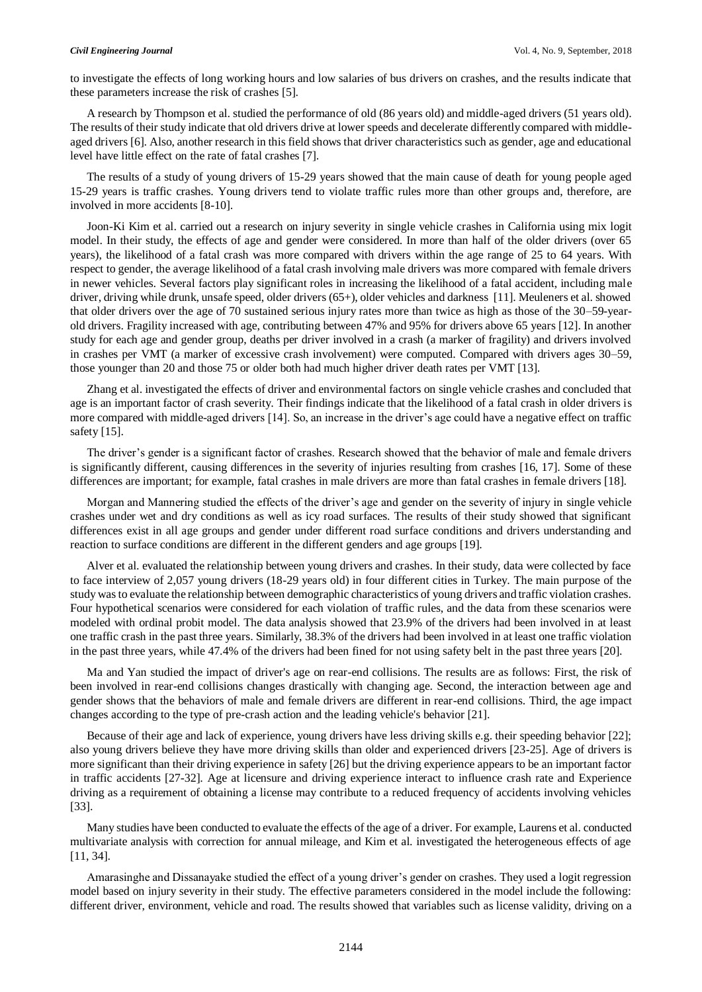to investigate the effects of long working hours and low salaries of bus drivers on crashes, and the results indicate that these parameters increase the risk of crashes [5].

A research by Thompson et al. studied the performance of old (86 years old) and middle-aged drivers (51 years old). The results of their study indicate that old drivers drive at lower speeds and decelerate differently compared with middleaged drivers [6]. Also, another research in this field shows that driver characteristics such as gender, age and educational level have little effect on the rate of fatal crashes [7].

The results of a study of young drivers of 15-29 years showed that the main cause of death for young people aged 15-29 years is traffic crashes. Young drivers tend to violate traffic rules more than other groups and, therefore, are involved in more accidents [8-10].

Joon-Ki Kim et al. carried out a research on injury severity in single vehicle crashes in California using mix logit model. In their study, the effects of age and gender were considered. In more than half of the older drivers (over 65 years), the likelihood of a fatal crash was more compared with drivers within the age range of 25 to 64 years. With respect to gender, the average likelihood of a fatal crash involving male drivers was more compared with female drivers in newer vehicles. Several factors play significant roles in increasing the likelihood of a fatal accident, including male driver, driving while drunk, unsafe speed, older drivers (65+), older vehicles and darkness [11]. Meuleners et al. showed that older drivers over the age of 70 sustained serious injury rates more than twice as high as those of the 30–59-yearold drivers. Fragility increased with age, contributing between 47% and 95% for drivers above 65 years [12]. In another study for each age and gender group, deaths per driver involved in a crash (a marker of fragility) and drivers involved in crashes per VMT (a marker of excessive crash involvement) were computed. Compared with drivers ages 30–59, those younger than 20 and those 75 or older both had much higher driver death rates per VMT [13].

Zhang et al. investigated the effects of driver and environmental factors on single vehicle crashes and concluded that age is an important factor of crash severity. Their findings indicate that the likelihood of a fatal crash in older drivers is more compared with middle-aged drivers [14]. So, an increase in the driver's age could have a negative effect on traffic safety [15].

The driver's gender is a significant factor of crashes. Research showed that the behavior of male and female drivers is significantly different, causing differences in the severity of injuries resulting from crashes [16, 17]. Some of these differences are important; for example, fatal crashes in male drivers are more than fatal crashes in female drivers [18].

Morgan and Mannering studied the effects of the driver's age and gender on the severity of injury in single vehicle crashes under wet and dry conditions as well as icy road surfaces. The results of their study showed that significant differences exist in all age groups and gender under different road surface conditions and drivers understanding and reaction to surface conditions are different in the different genders and age groups [19].

Alver et al. evaluated the relationship between young drivers and crashes. In their study, data were collected by face to face interview of 2,057 young drivers (18-29 years old) in four different cities in Turkey. The main purpose of the study was to evaluate the relationship between demographic characteristics of young drivers and traffic violation crashes. Four hypothetical scenarios were considered for each violation of traffic rules, and the data from these scenarios were modeled with ordinal probit model. The data analysis showed that 23.9% of the drivers had been involved in at least one traffic crash in the past three years. Similarly, 38.3% of the drivers had been involved in at least one traffic violation in the past three years, while 47.4% of the drivers had been fined for not using safety belt in the past three years [20].

Ma and Yan studied the impact of driver's age on rear-end collisions. The results are as follows: First, the risk of been involved in rear-end collisions changes drastically with changing age. Second, the interaction between age and gender shows that the behaviors of male and female drivers are different in rear-end collisions. Third, the age impact changes according to the type of pre-crash action and the leading vehicle's behavior [21].

Because of their age and lack of experience, young drivers have less driving skills e.g. their speeding behavior [22]; also young drivers believe they have more driving skills than older and experienced drivers [23-25]. Age of drivers is more significant than their driving experience in safety [26] but the driving experience appears to be an important factor in traffic accidents [27-32]. Age at licensure and driving experience interact to influence crash rate and Experience driving as a requirement of obtaining a license may contribute to a reduced frequency of accidents involving vehicles [33].

Many studies have been conducted to evaluate the effects of the age of a driver. For example, Laurens et al. conducted multivariate analysis with correction for annual mileage, and Kim et al. investigated the heterogeneous effects of age [11, 34].

Amarasinghe and Dissanayake studied the effect of a young driver's gender on crashes. They used a logit regression model based on injury severity in their study. The effective parameters considered in the model include the following: different driver, environment, vehicle and road. The results showed that variables such as license validity, driving on a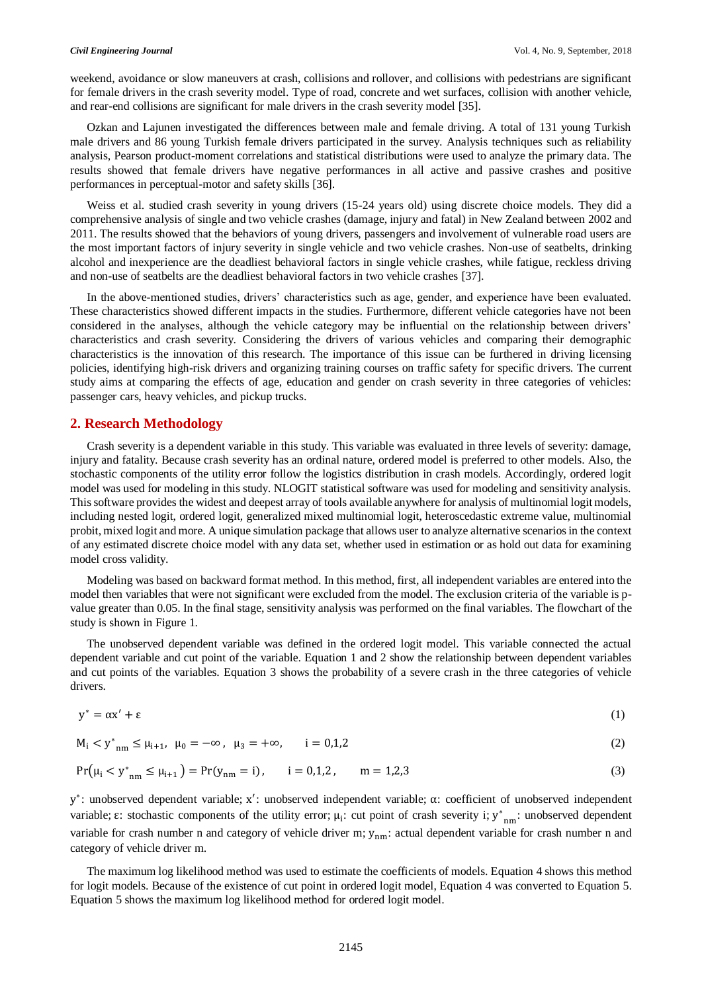weekend, avoidance or slow maneuvers at crash, collisions and rollover, and collisions with pedestrians are significant for female drivers in the crash severity model. Type of road, concrete and wet surfaces, collision with another vehicle, and rear-end collisions are significant for male drivers in the crash severity model [35].

Ozkan and Lajunen investigated the differences between male and female driving. A total of 131 young Turkish male drivers and 86 young Turkish female drivers participated in the survey. Analysis techniques such as reliability analysis, Pearson product-moment correlations and statistical distributions were used to analyze the primary data. The results showed that female drivers have negative performances in all active and passive crashes and positive performances in perceptual-motor and safety skills [36].

Weiss et al. studied crash severity in young drivers (15-24 years old) using discrete choice models. They did a comprehensive analysis of single and two vehicle crashes (damage, injury and fatal) in New Zealand between 2002 and 2011. The results showed that the behaviors of young drivers, passengers and involvement of vulnerable road users are the most important factors of injury severity in single vehicle and two vehicle crashes. Non-use of seatbelts, drinking alcohol and inexperience are the deadliest behavioral factors in single vehicle crashes, while fatigue, reckless driving and non-use of seatbelts are the deadliest behavioral factors in two vehicle crashes [37].

In the above-mentioned studies, drivers' characteristics such as age, gender, and experience have been evaluated. These characteristics showed different impacts in the studies. Furthermore, different vehicle categories have not been considered in the analyses, although the vehicle category may be influential on the relationship between drivers' characteristics and crash severity. Considering the drivers of various vehicles and comparing their demographic characteristics is the innovation of this research. The importance of this issue can be furthered in driving licensing policies, identifying high-risk drivers and organizing training courses on traffic safety for specific drivers. The current study aims at comparing the effects of age, education and gender on crash severity in three categories of vehicles: passenger cars, heavy vehicles, and pickup trucks.

#### **2. Research Methodology**

Crash severity is a dependent variable in this study. This variable was evaluated in three levels of severity: damage, injury and fatality. Because crash severity has an ordinal nature, ordered model is preferred to other models. Also, the stochastic components of the utility error follow the logistics distribution in crash models. Accordingly, ordered logit model was used for modeling in this study. NLOGIT statistical software was used for modeling and sensitivity analysis. This software provides the widest and deepest array of tools available anywhere for analysis of multinomial logit models, including nested logit, ordered logit, generalized mixed multinomial logit, heteroscedastic extreme value, multinomial probit, mixed logit and more. A unique simulation package that allows user to analyze alternative scenarios in the context of any estimated discrete choice model with any data set, whether used in estimation or as hold out data for examining model cross validity.

Modeling was based on backward format method. In this method, first, all independent variables are entered into the model then variables that were not significant were excluded from the model. The exclusion criteria of the variable is pvalue greater than 0.05. In the final stage, sensitivity analysis was performed on the final variables. The flowchart of the study is shown in Figure 1.

The unobserved dependent variable was defined in the ordered logit model. This variable connected the actual dependent variable and cut point of the variable. Equation 1 and 2 show the relationship between dependent variables and cut points of the variables. Equation 3 shows the probability of a severe crash in the three categories of vehicle drivers.

$$
y^* = \alpha x' + \varepsilon \tag{1}
$$

 $M_i < y^*_{nm} \le \mu_{i+1}, \ \mu_0 = -\infty, \ \mu_3 = +\infty, \qquad i = 0, 1, 2$  (2)

$$
Pr(\mu_i < y^*_{nm} \le \mu_{i+1}) = Pr(y_{nm} = i), \qquad i = 0, 1, 2, \qquad m = 1, 2, 3 \tag{3}
$$

y ∗ : unobserved dependent variable; x ′ : unobserved independent variable; α: coefficient of unobserved independent variable;  $\varepsilon$ : stochastic components of the utility error;  $\mu_i$ : cut point of crash severity i;  $y^*_{mn}$ : unobserved dependent variable for crash number n and category of vehicle driver m; y<sub>nm</sub>: actual dependent variable for crash number n and category of vehicle driver m.

The maximum log likelihood method was used to estimate the coefficients of models. Equation 4 shows this method for logit models. Because of the existence of cut point in ordered logit model, Equation 4 was converted to Equation 5. Equation 5 shows the maximum log likelihood method for ordered logit model.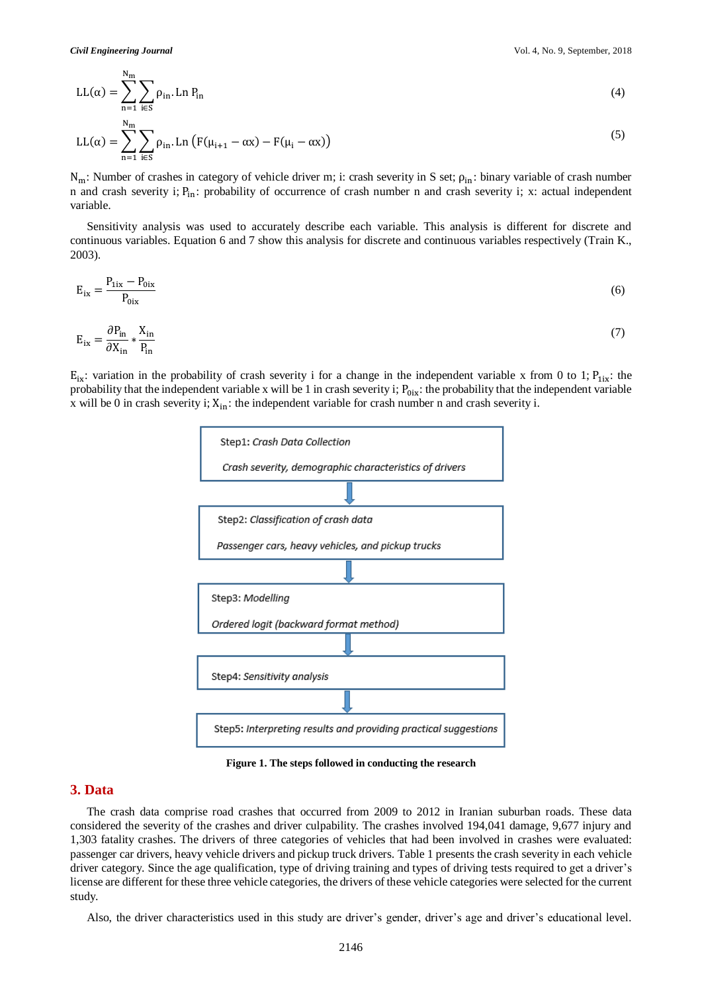Nm

$$
LL(\alpha) = \sum_{n=1}^{\infty} \sum_{i \in S} \rho_{in} Ln P_{in}
$$
 (4)

$$
LL(\alpha) = \sum_{n=1}^{N_{\text{m}}} \sum_{i \in S} \rho_{in} Ln (F(\mu_{i+1} - \alpha x) - F(\mu_i - \alpha x))
$$
\n(5)

 $N_m$ : Number of crashes in category of vehicle driver m; i: crash severity in S set;  $\rho_{in}$ : binary variable of crash number n and crash severity i;  $P_{in}$ : probability of occurrence of crash number n and crash severity i; x: actual independent variable.

Sensitivity analysis was used to accurately describe each variable. This analysis is different for discrete and continuous variables. Equation 6 and 7 show this analysis for discrete and continuous variables respectively (Train K., 2003).

$$
E_{ix} = \frac{P_{1ix} - P_{0ix}}{P_{0ix}}\tag{6}
$$

$$
E_{ix} = \frac{\partial P_{in}}{\partial X_{in}} * \frac{X_{in}}{P_{in}}
$$
 (7)

 $E_{ix}$ : variation in the probability of crash severity i for a change in the independent variable x from 0 to 1;  $P_{1ix}$ : the probability that the independent variable x will be 1 in crash severity i;  $P_{0i}$ ; the probability that the independent variable x will be 0 in crash severity i;  $X_{in}$ : the independent variable for crash number n and crash severity i.



**Figure 1. The steps followed in conducting the research**

#### **3. Data**

The crash data comprise road crashes that occurred from 2009 to 2012 in Iranian suburban roads. These data considered the severity of the crashes and driver culpability. The crashes involved 194,041 damage, 9,677 injury and 1,303 fatality crashes. The drivers of three categories of vehicles that had been involved in crashes were evaluated: passenger car drivers, heavy vehicle drivers and pickup truck drivers. Table 1 presents the crash severity in each vehicle driver category. Since the age qualification, type of driving training and types of driving tests required to get a driver's license are different for these three vehicle categories, the drivers of these vehicle categories were selected for the current study.

Also, the driver characteristics used in this study are driver's gender, driver's age and driver's educational level.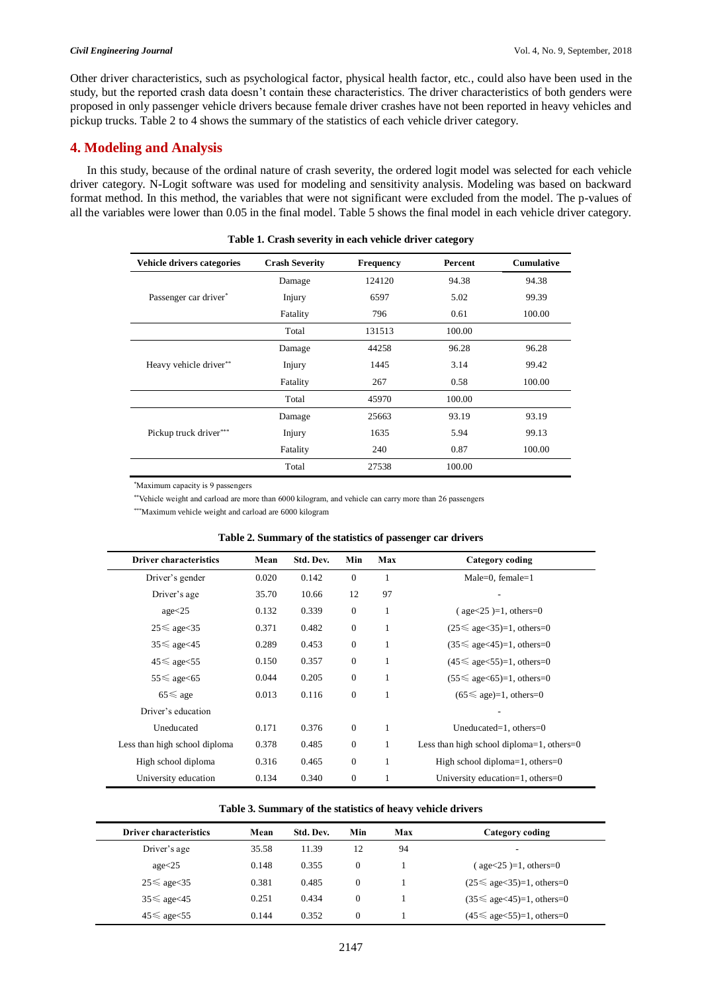Other driver characteristics, such as psychological factor, physical health factor, etc., could also have been used in the study, but the reported crash data doesn't contain these characteristics. The driver characteristics of both genders were proposed in only passenger vehicle drivers because female driver crashes have not been reported in heavy vehicles and pickup trucks. Table 2 to 4 shows the summary of the statistics of each vehicle driver category.

## **4. Modeling and Analysis**

In this study, because of the ordinal nature of crash severity, the ordered logit model was selected for each vehicle driver category. N-Logit software was used for modeling and sensitivity analysis. Modeling was based on backward format method. In this method, the variables that were not significant were excluded from the model. The p-values of all the variables were lower than 0.05 in the final model. Table 5 shows the final model in each vehicle driver category.

| Vehicle drivers categories | <b>Crash Severity</b> | <b>Frequency</b> | Percent | <b>Cumulative</b> |
|----------------------------|-----------------------|------------------|---------|-------------------|
|                            | Damage                | 124120           | 94.38   | 94.38             |
| Passenger car driver*      | Injury                | 6597             | 5.02    | 99.39             |
|                            | Fatality              | 796              | 0.61    | 100.00            |
|                            | Total                 | 131513           | 100.00  |                   |
|                            | Damage                | 44258            | 96.28   | 96.28             |
| Heavy vehicle driver**     | Injury                | 1445             | 3.14    | 99.42             |
|                            | Fatality              | 267              | 0.58    | 100.00            |
|                            | Total                 | 45970            | 100.00  |                   |
|                            | Damage                | 25663            | 93.19   | 93.19             |
| Pickup truck driver***     | Injury                | 1635             | 5.94    | 99.13             |
|                            | Fatality              | 240              | 0.87    | 100.00            |
|                            | Total                 | 27538            | 100.00  |                   |

**Table 1. Crash severity in each vehicle driver category**

\*Maximum capacity is 9 passengers

\*\*Vehicle weight and carload are more than 6000 kilogram, and vehicle can carry more than 26 passengers

\*\*\*Maximum vehicle weight and carload are 6000 kilogram

|  |  |  |  |  |  |  | Table 2. Summary of the statistics of passenger car drivers |  |  |
|--|--|--|--|--|--|--|-------------------------------------------------------------|--|--|
|--|--|--|--|--|--|--|-------------------------------------------------------------|--|--|

| <b>Driver characteristics</b> | Mean  | Std. Dev. | Min          | Max | Category coding                            |
|-------------------------------|-------|-----------|--------------|-----|--------------------------------------------|
| Driver's gender               | 0.020 | 0.142     | $\mathbf{0}$ | 1   | Male=0, female= $1$                        |
| Driver's age                  | 35.70 | 10.66     | 12           | 97  |                                            |
| age<25                        | 0.132 | 0.339     | $\mathbf{0}$ | 1   | $\text{(age} < 25) = 1, \text{others} = 0$ |
| $25 \le$ age $\lt 35$         | 0.371 | 0.482     | $\mathbf{0}$ | 1   | $(25 \leq$ age $<$ 35)=1, others=0         |
| $35 \leq$ age $<$ 45          | 0.289 | 0.453     | $\mathbf{0}$ | 1   | $(35 \leq$ age $<$ 45)=1, others=0         |
| $45 \leq$ age $55$            | 0.150 | 0.357     | $\mathbf{0}$ | 1   | $(45 \leq$ age $<$ 55)=1, others=0         |
| $55 \leq$ age $< 65$          | 0.044 | 0.205     | $\mathbf{0}$ | 1   | $(55 \leq$ age $< 65)=1$ , others=0        |
| $65 \le$ age                  | 0.013 | 0.116     | $\mathbf{0}$ | 1   | $(65 \leq$ age)=1, others=0                |
| Driver's education            |       |           |              |     |                                            |
| Uneducated                    | 0.171 | 0.376     | $\mathbf{0}$ | 1   | Uneducated=1, others= $0$                  |
| Less than high school diploma | 0.378 | 0.485     | $\mathbf{0}$ | 1   | Less than high school diploma=1, others=0  |
| High school diploma           | 0.316 | 0.465     | $\mathbf{0}$ | 1   | High school diploma=1, others=0            |
| University education          | 0.134 | 0.340     | $\mathbf{0}$ |     | University education=1, others= $0$        |

#### **Table 3. Summary of the statistics of heavy vehicle drivers**

| <b>Driver characteristics</b> | Mean  | Std. Dev. | Min              | Max | Category coding                            |
|-------------------------------|-------|-----------|------------------|-----|--------------------------------------------|
| Driver's age                  | 35.58 | 11.39     | 12               | 94  |                                            |
| $a$ ge $<$ 25                 | 0.148 | 0.355     | $\boldsymbol{0}$ |     | $\text{(age} < 25) = 1, \text{others} = 0$ |
| $25 \le$ age $35$             | 0.381 | 0.485     | $\boldsymbol{0}$ |     | $(25 \leq$ age $<$ 35)=1, others=0         |
| $35 \leq$ age $<$ 45          | 0.251 | 0.434     | $\boldsymbol{0}$ |     | $(35 \leq$ age $<$ 45 $)=1$ , others=0     |
| $45 \leq$ age $<55$           | 0.144 | 0.352     | $\theta$         |     | $(45 \leq$ age $<$ 55)=1, others=0         |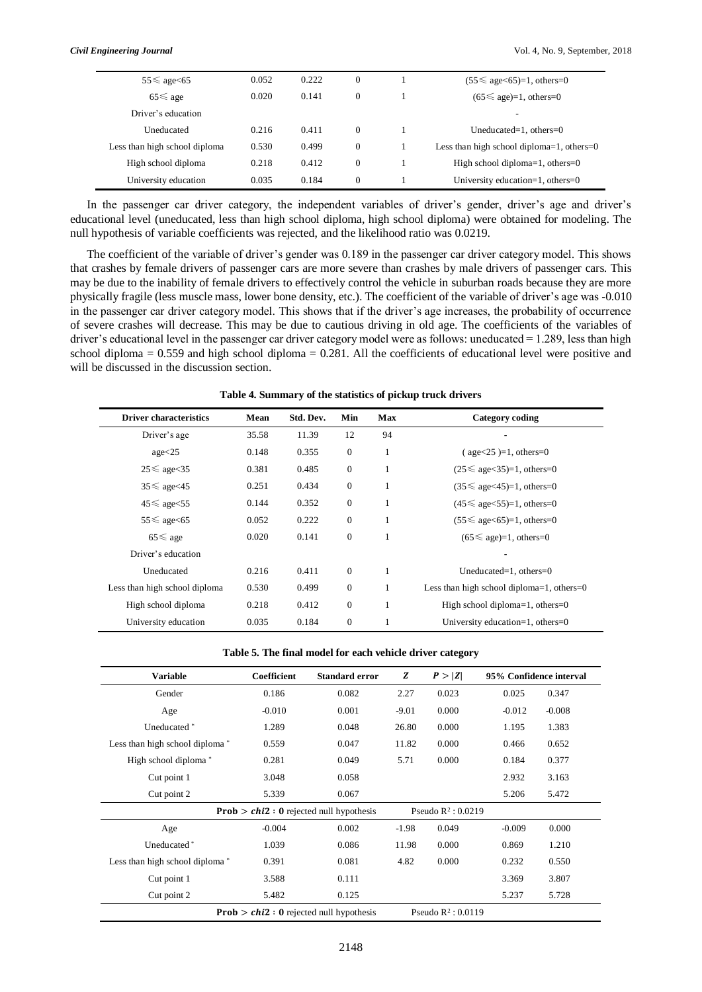| $55 \leq$ age $< 65$          | 0.052 | 0.222 | $\mathbf{0}$ | $(55 \leq$ age $< 65)=1$ , others=0       |
|-------------------------------|-------|-------|--------------|-------------------------------------------|
| $65 \le$ age                  | 0.020 | 0.141 | $\mathbf{0}$ | $(65 \leq$ age)=1, others=0               |
| Driver's education            |       |       |              |                                           |
| Uneducated                    | 0.216 | 0.411 | $\theta$     | Uneducated=1, others= $0$                 |
| Less than high school diploma | 0.530 | 0.499 | $\mathbf{0}$ | Less than high school diploma=1, others=0 |
| High school diploma           | 0.218 | 0.412 | $\mathbf{0}$ | High school diploma=1, others=0           |
| University education          | 0.035 | 0.184 | $\mathbf{0}$ | University education=1, others= $0$       |

In the passenger car driver category, the independent variables of driver's gender, driver's age and driver's educational level (uneducated, less than high school diploma, high school diploma) were obtained for modeling. The null hypothesis of variable coefficients was rejected, and the likelihood ratio was 0.0219.

The coefficient of the variable of driver's gender was 0.189 in the passenger car driver category model. This shows that crashes by female drivers of passenger cars are more severe than crashes by male drivers of passenger cars. This may be due to the inability of female drivers to effectively control the vehicle in suburban roads because they are more physically fragile (less muscle mass, lower bone density, etc.). The coefficient of the variable of driver's age was -0.010 in the passenger car driver category model. This shows that if the driver's age increases, the probability of occurrence of severe crashes will decrease. This may be due to cautious driving in old age. The coefficients of the variables of driver's educational level in the passenger car driver category model were as follows: uneducated = 1.289, less than high school diploma  $= 0.559$  and high school diploma  $= 0.281$ . All the coefficients of educational level were positive and will be discussed in the discussion section.

| <b>Driver characteristics</b> | Mean  | Std. Dev. | Min          | Max          | <b>Category coding</b>                       |
|-------------------------------|-------|-----------|--------------|--------------|----------------------------------------------|
| Driver's age                  | 35.58 | 11.39     | 12           | 94           |                                              |
| age < 25                      | 0.148 | 0.355     | $\mathbf{0}$ | 1            | $(age < 25) = 1, others = 0$                 |
| $25 \le$ age $35$             | 0.381 | 0.485     | $\theta$     | 1            | $(25 \leq$ age $<$ 35)=1, others=0           |
| $35 \leq$ age $< 45$          | 0.251 | 0.434     | $\theta$     | 1            | $(35 \leq$ age $<$ 45)=1, others=0           |
| $45 \leq$ age $55$            | 0.144 | 0.352     | $\theta$     | 1            | $(45 \leq$ age $<$ 55)=1, others=0           |
| $55 \leq$ age $< 65$          | 0.052 | 0.222     | $\theta$     | 1            | $(55 \leq$ age $< 65)=1$ , others=0          |
| $65 \le$ age                  | 0.020 | 0.141     | $\theta$     | $\mathbf{1}$ | $(65 \leq$ age)=1, others=0                  |
| Driver's education            |       |           |              |              |                                              |
| Uneducated                    | 0.216 | 0.411     | $\mathbf{0}$ | 1            | Uneducated=1, others= $0$                    |
| Less than high school diploma | 0.530 | 0.499     | $\theta$     | 1            | Less than high school diploma=1, others= $0$ |
| High school diploma           | 0.218 | 0.412     | $\theta$     | 1            | High school diploma=1, others=0              |
| University education          | 0.035 | 0.184     | $\theta$     | 1            | University education=1, others=0             |

**Table 4. Summary of the statistics of pickup truck drivers**

| Table 5. The final model for each vehicle driver category |  |  |  |  |  |  |  |  |  |  |
|-----------------------------------------------------------|--|--|--|--|--|--|--|--|--|--|
|-----------------------------------------------------------|--|--|--|--|--|--|--|--|--|--|

| <b>Variable</b>                            | Coefficient                                             | <b>Standard error</b>                                   | Z       | P >  Z                |          | 95% Confidence interval |
|--------------------------------------------|---------------------------------------------------------|---------------------------------------------------------|---------|-----------------------|----------|-------------------------|
| Gender                                     | 0.186                                                   | 0.082                                                   | 2.27    | 0.023                 | 0.025    | 0.347                   |
| Age                                        | $-0.010$                                                | 0.001                                                   | $-9.01$ | 0.000                 | $-0.012$ | $-0.008$                |
| Uneducated*                                | 1.289                                                   | 0.048                                                   | 26.80   | 0.000                 | 1.195    | 1.383                   |
| Less than high school diploma <sup>*</sup> | 0.559                                                   | 0.047                                                   | 11.82   | 0.000                 | 0.466    | 0.652                   |
| High school diploma*                       | 0.281                                                   | 0.049                                                   | 5.71    | 0.000                 | 0.184    | 0.377                   |
| Cut point 1                                | 3.048                                                   | 0.058                                                   |         |                       | 2.932    | 3.163                   |
| Cut point 2                                | 5.339                                                   | 0.067                                                   |         |                       | 5.206    | 5.472                   |
|                                            |                                                         | <b>Prob</b> > $\text{chi2}: 0$ rejected null hypothesis |         | Pseudo $R^2$ : 0.0219 |          |                         |
| Age                                        | $-0.004$                                                | 0.002                                                   | $-1.98$ | 0.049                 | $-0.009$ | 0.000                   |
| Uneducated*                                | 1.039                                                   | 0.086                                                   | 11.98   | 0.000                 | 0.869    | 1.210                   |
| Less than high school diploma*             | 0.391                                                   | 0.081                                                   | 4.82    | 0.000                 | 0.232    | 0.550                   |
| Cut point 1                                | 3.588                                                   | 0.111                                                   |         |                       | 3.369    | 3.807                   |
| Cut point 2                                | 5.482                                                   | 0.125                                                   |         |                       | 5.237    | 5.728                   |
|                                            | <b>Prob</b> > $\text{chi2}: 0$ rejected null hypothesis |                                                         |         | Pseudo $R^2$ : 0.0119 |          |                         |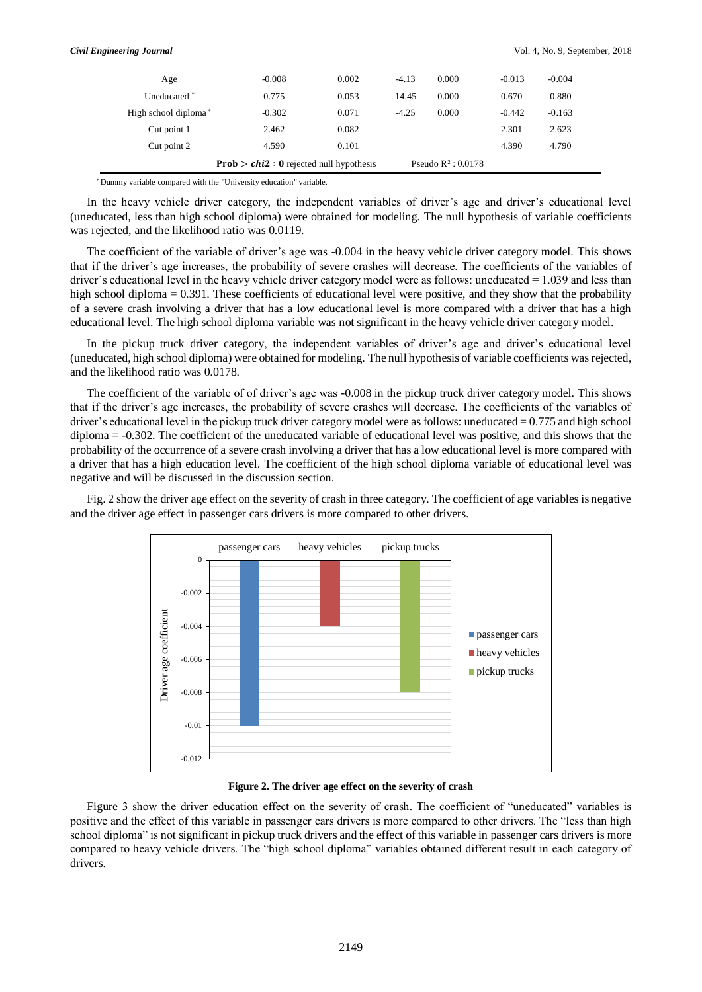| Age                  | $-0.008$                                                  | 0.002 | $-4.13$               | 0.000 | $-0.013$ | $-0.004$ |
|----------------------|-----------------------------------------------------------|-------|-----------------------|-------|----------|----------|
| Uneducated *         | 0.775                                                     | 0.053 | 14.45                 | 0.000 | 0.670    | 0.880    |
| High school diploma* | $-0.302$                                                  | 0.071 | $-4.25$               | 0.000 | $-0.442$ | $-0.163$ |
| Cut point 1          | 2.462                                                     | 0.082 |                       |       | 2.301    | 2.623    |
| Cut point 2          | 4.590                                                     | 0.101 |                       |       | 4.390    | 4.790    |
|                      | <b>Prob</b> $>$ <i>chi</i> 2 : 0 rejected null hypothesis |       | Pseudo $R^2$ : 0.0178 |       |          |          |

\* Dummy variable compared with the "University education" variable.

In the heavy vehicle driver category, the independent variables of driver's age and driver's educational level (uneducated, less than high school diploma) were obtained for modeling. The null hypothesis of variable coefficients was rejected, and the likelihood ratio was 0.0119.

The coefficient of the variable of driver's age was -0.004 in the heavy vehicle driver category model. This shows that if the driver's age increases, the probability of severe crashes will decrease. The coefficients of the variables of driver's educational level in the heavy vehicle driver category model were as follows: uneducated  $= 1.039$  and less than high school diploma = 0.391. These coefficients of educational level were positive, and they show that the probability of a severe crash involving a driver that has a low educational level is more compared with a driver that has a high educational level. The high school diploma variable was not significant in the heavy vehicle driver category model.

In the pickup truck driver category, the independent variables of driver's age and driver's educational level (uneducated, high school diploma) were obtained for modeling. The null hypothesis of variable coefficients was rejected, and the likelihood ratio was 0.0178.

The coefficient of the variable of of driver's age was -0.008 in the pickup truck driver category model. This shows that if the driver's age increases, the probability of severe crashes will decrease. The coefficients of the variables of driver's educational level in the pickup truck driver category model were as follows: uneducated  $= 0.775$  and high school diploma = -0.302. The coefficient of the uneducated variable of educational level was positive, and this shows that the probability of the occurrence of a severe crash involving a driver that has a low educational level is more compared with a driver that has a high education level. The coefficient of the high school diploma variable of educational level was negative and will be discussed in the discussion section.

Fig. 2 show the driver age effect on the severity of crash in three category. The coefficient of age variables is negative and the driver age effect in passenger cars drivers is more compared to other drivers.



**Figure 2. The driver age effect on the severity of crash**

Figure 3 show the driver education effect on the severity of crash. The coefficient of "uneducated" variables is positive and the effect of this variable in passenger cars drivers is more compared to other drivers. The "less than high school diploma" is not significant in pickup truck drivers and the effect of this variable in passenger cars drivers is more compared to heavy vehicle drivers. The "high school diploma" variables obtained different result in each category of drivers.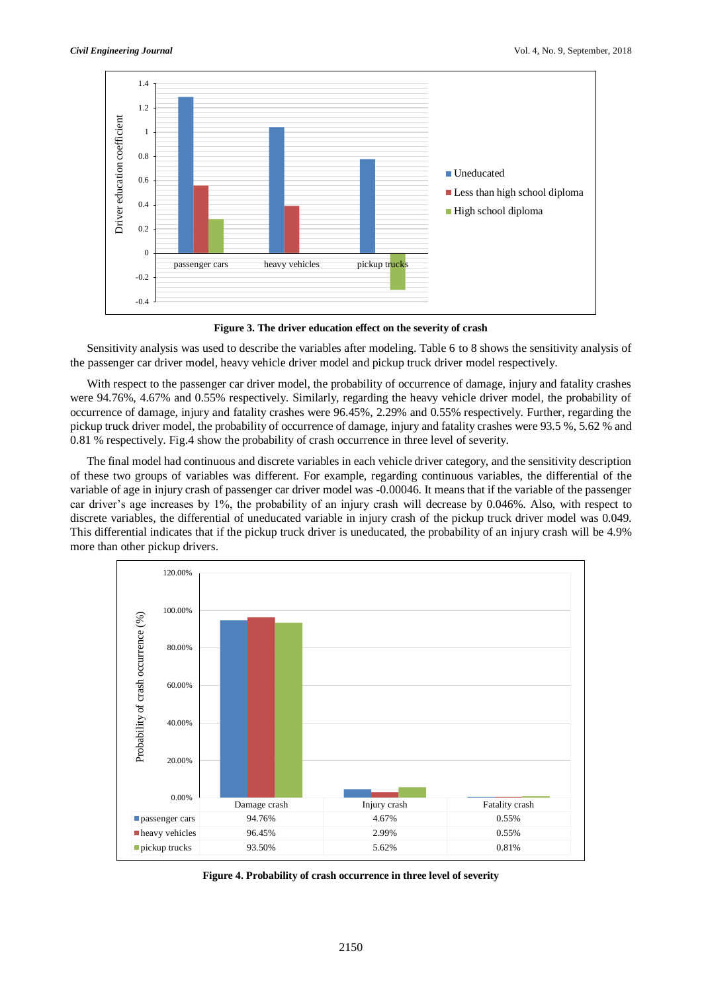

**Figure 3. The driver education effect on the severity of crash**

Sensitivity analysis was used to describe the variables after modeling. Table 6 to 8 shows the sensitivity analysis of the passenger car driver model, heavy vehicle driver model and pickup truck driver model respectively.

With respect to the passenger car driver model, the probability of occurrence of damage, injury and fatality crashes were 94.76%, 4.67% and 0.55% respectively. Similarly, regarding the heavy vehicle driver model, the probability of occurrence of damage, injury and fatality crashes were 96.45%, 2.29% and 0.55% respectively. Further, regarding the pickup truck driver model, the probability of occurrence of damage, injury and fatality crashes were 93.5 %, 5.62 % and 0.81 % respectively. Fig.4 show the probability of crash occurrence in three level of severity.

The final model had continuous and discrete variables in each vehicle driver category, and the sensitivity description of these two groups of variables was different. For example, regarding continuous variables, the differential of the variable of age in injury crash of passenger car driver model was -0.00046. It means that if the variable of the passenger car driver's age increases by 1%, the probability of an injury crash will decrease by 0.046%. Also, with respect to discrete variables, the differential of uneducated variable in injury crash of the pickup truck driver model was 0.049. This differential indicates that if the pickup truck driver is uneducated, the probability of an injury crash will be 4.9% more than other pickup drivers.



**Figure 4. Probability of crash occurrence in three level of severity**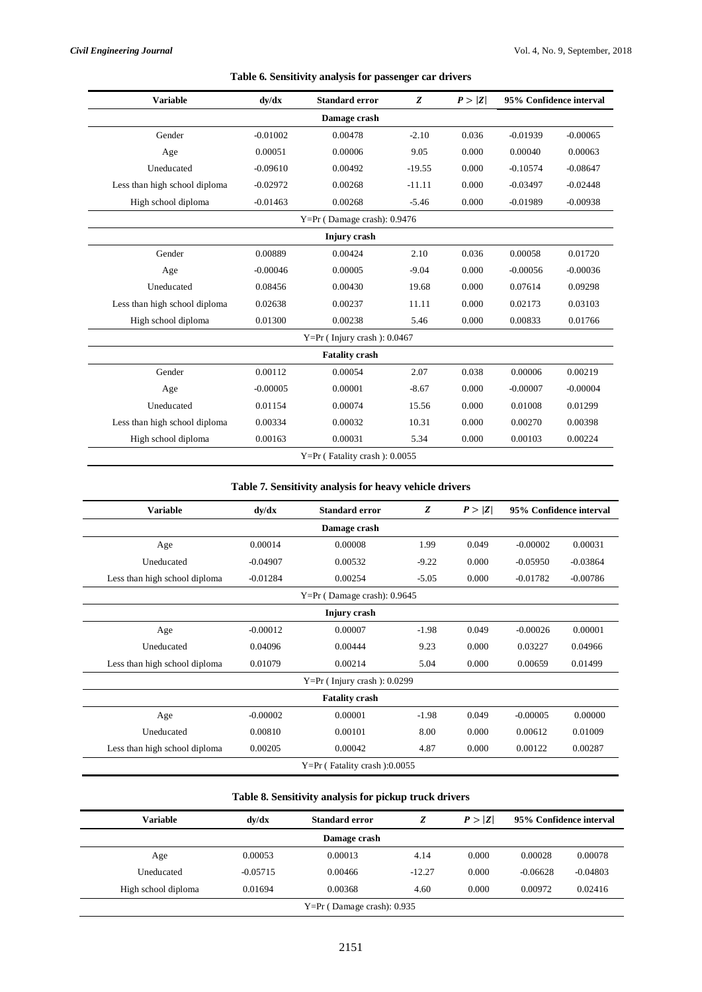| <b>Variable</b>               | dy/dx      | <b>Standard error</b>             | Z        | P >  Z |            | 95% Confidence interval |  |  |  |
|-------------------------------|------------|-----------------------------------|----------|--------|------------|-------------------------|--|--|--|
|                               |            | Damage crash                      |          |        |            |                         |  |  |  |
| Gender                        | $-0.01002$ | 0.00478                           | $-2.10$  | 0.036  | $-0.01939$ | $-0.00065$              |  |  |  |
| Age                           | 0.00051    | 0.00006                           | 9.05     | 0.000  | 0.00040    | 0.00063                 |  |  |  |
| Uneducated                    | $-0.09610$ | 0.00492                           | $-19.55$ | 0.000  | $-0.10574$ | $-0.08647$              |  |  |  |
| Less than high school diploma | $-0.02972$ | 0.00268                           | $-11.11$ | 0.000  | $-0.03497$ | $-0.02448$              |  |  |  |
| High school diploma           | $-0.01463$ | 0.00268                           | $-5.46$  | 0.000  | $-0.01989$ | $-0.00938$              |  |  |  |
|                               |            | $Y=Pr($ Damage crash): 0.9476     |          |        |            |                         |  |  |  |
| Injury crash                  |            |                                   |          |        |            |                         |  |  |  |
| Gender                        | 0.00889    | 0.00424                           | 2.10     | 0.036  | 0.00058    | 0.01720                 |  |  |  |
| Age                           | $-0.00046$ | 0.00005                           | $-9.04$  | 0.000  | $-0.00056$ | $-0.00036$              |  |  |  |
| Uneducated                    | 0.08456    | 0.00430                           | 19.68    | 0.000  | 0.07614    | 0.09298                 |  |  |  |
| Less than high school diploma | 0.02638    | 0.00237                           | 11.11    | 0.000  | 0.02173    | 0.03103                 |  |  |  |
| High school diploma           | 0.01300    | 0.00238                           | 5.46     | 0.000  | 0.00833    | 0.01766                 |  |  |  |
|                               |            | $Y=Pr($ Injury crash $): 0.0467$  |          |        |            |                         |  |  |  |
|                               |            | <b>Fatality crash</b>             |          |        |            |                         |  |  |  |
| Gender                        | 0.00112    | 0.00054                           | 2.07     | 0.038  | 0.00006    | 0.00219                 |  |  |  |
| Age                           | $-0.00005$ | 0.00001                           | $-8.67$  | 0.000  | $-0.00007$ | $-0.00004$              |  |  |  |
| Uneducated                    | 0.01154    | 0.00074                           | 15.56    | 0.000  | 0.01008    | 0.01299                 |  |  |  |
| Less than high school diploma | 0.00334    | 0.00032                           | 10.31    | 0.000  | 0.00270    | 0.00398                 |  |  |  |
| High school diploma           | 0.00163    | 0.00031                           | 5.34     | 0.000  | 0.00103    | 0.00224                 |  |  |  |
|                               |            | $Y=Pr$ (Fatality crash): $0.0055$ |          |        |            |                         |  |  |  |

# **Table 6. Sensitivity analysis for passenger car drivers**

# **Table 7. Sensitivity analysis for heavy vehicle drivers**

| <b>Variable</b>               | dy/dx                         | <b>Standard error</b>            | Z       | P >  Z |            | 95% Confidence interval |  |  |  |
|-------------------------------|-------------------------------|----------------------------------|---------|--------|------------|-------------------------|--|--|--|
|                               |                               | Damage crash                     |         |        |            |                         |  |  |  |
| Age                           | 0.00014                       | 0.00008                          | 1.99    | 0.049  | $-0.00002$ | 0.00031                 |  |  |  |
| Uneducated                    | $-0.04907$                    | 0.00532                          | $-9.22$ | 0.000  | $-0.05950$ | $-0.03864$              |  |  |  |
| Less than high school diploma | $-0.01284$                    | 0.00254                          | $-5.05$ | 0.000  | $-0.01782$ | $-0.00786$              |  |  |  |
|                               | $Y=Pr($ Damage crash): 0.9645 |                                  |         |        |            |                         |  |  |  |
| Injury crash                  |                               |                                  |         |        |            |                         |  |  |  |
| Age                           | $-0.00012$                    | 0.00007                          | $-1.98$ | 0.049  | $-0.00026$ | 0.00001                 |  |  |  |
| Uneducated                    | 0.04096                       | 0.00444                          | 9.23    | 0.000  | 0.03227    | 0.04966                 |  |  |  |
| Less than high school diploma | 0.01079                       | 0.00214                          | 5.04    | 0.000  | 0.00659    | 0.01499                 |  |  |  |
|                               |                               | $Y=Pr($ Injury crash $): 0.0299$ |         |        |            |                         |  |  |  |
|                               |                               | <b>Fatality crash</b>            |         |        |            |                         |  |  |  |
| Age                           | $-0.00002$                    | 0.00001                          | $-1.98$ | 0.049  | $-0.00005$ | 0.00000                 |  |  |  |
| Uneducated                    | 0.00810                       | 0.00101                          | 8.00    | 0.000  | 0.00612    | 0.01009                 |  |  |  |
| Less than high school diploma | 0.00205                       | 0.00042                          | 4.87    | 0.000  | 0.00122    | 0.00287                 |  |  |  |
|                               |                               | $Y=Pr$ (Fatality crash):0.0055   |         |        |            |                         |  |  |  |

# **Table 8. Sensitivity analysis for pickup truck drivers**

| Variable                       | dv/dx        | <b>Standard error</b> |          | P >  Z |            | 95% Confidence interval |  |  |  |
|--------------------------------|--------------|-----------------------|----------|--------|------------|-------------------------|--|--|--|
|                                | Damage crash |                       |          |        |            |                         |  |  |  |
| Age                            | 0.00053      | 0.00013               | 4.14     | 0.000  | 0.00028    | 0.00078                 |  |  |  |
| Uneducated                     | $-0.05715$   | 0.00466               | $-12.27$ | 0.000  | $-0.06628$ | $-0.04803$              |  |  |  |
| High school diploma            | 0.01694      | 0.00368               | 4.60     | 0.000  | 0.00972    | 0.02416                 |  |  |  |
| $Y = Pr$ (Damage crash): 0.935 |              |                       |          |        |            |                         |  |  |  |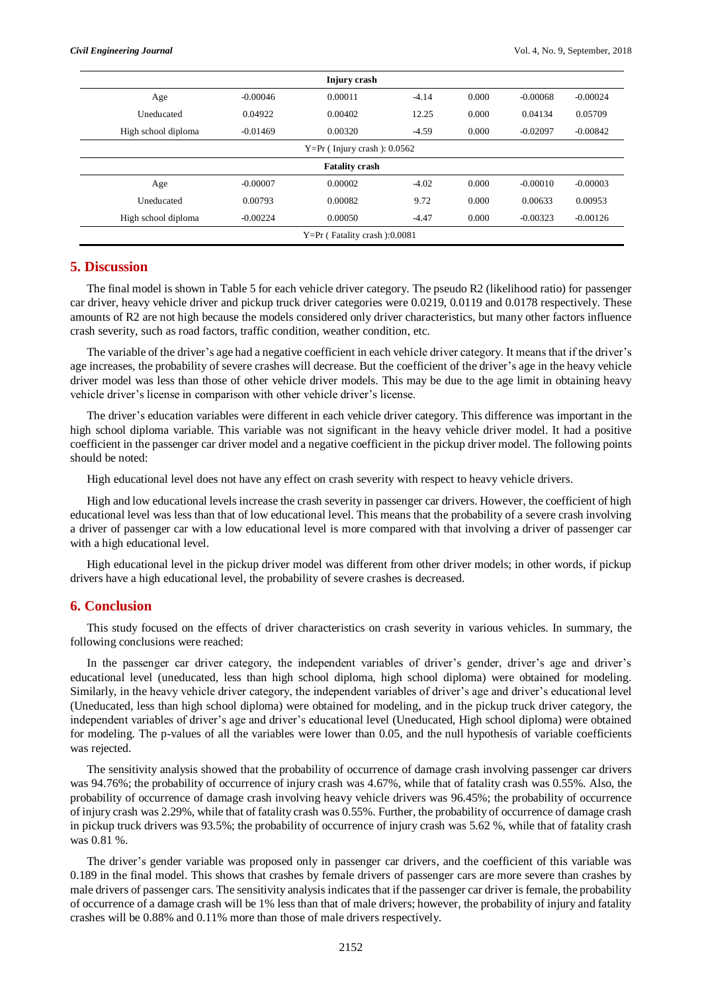| Injury crash                     |            |         |         |       |            |            |
|----------------------------------|------------|---------|---------|-------|------------|------------|
| Age                              | $-0.00046$ | 0.00011 | $-4.14$ | 0.000 | $-0.00068$ | $-0.00024$ |
| Uneducated                       | 0.04922    | 0.00402 | 12.25   | 0.000 | 0.04134    | 0.05709    |
| High school diploma              | $-0.01469$ | 0.00320 | $-4.59$ | 0.000 | $-0.02097$ | $-0.00842$ |
| $Y=Pr($ Injury crash $): 0.0562$ |            |         |         |       |            |            |
| <b>Fatality crash</b>            |            |         |         |       |            |            |
| Age                              | $-0.00007$ | 0.00002 | $-4.02$ | 0.000 | $-0.00010$ | $-0.00003$ |
| Uneducated                       | 0.00793    | 0.00082 | 9.72    | 0.000 | 0.00633    | 0.00953    |
| High school diploma              | $-0.00224$ | 0.00050 | $-4.47$ | 0.000 | $-0.00323$ | $-0.00126$ |
| $Y=Pr$ (Fatality crash):0.0081   |            |         |         |       |            |            |

## **5. Discussion**

The final model is shown in Table 5 for each vehicle driver category. The pseudo R2 (likelihood ratio) for passenger car driver, heavy vehicle driver and pickup truck driver categories were 0.0219, 0.0119 and 0.0178 respectively. These amounts of R2 are not high because the models considered only driver characteristics, but many other factors influence crash severity, such as road factors, traffic condition, weather condition, etc.

The variable of the driver's age had a negative coefficient in each vehicle driver category. It means that if the driver's age increases, the probability of severe crashes will decrease. But the coefficient of the driver's age in the heavy vehicle driver model was less than those of other vehicle driver models. This may be due to the age limit in obtaining heavy vehicle driver's license in comparison with other vehicle driver's license.

The driver's education variables were different in each vehicle driver category. This difference was important in the high school diploma variable. This variable was not significant in the heavy vehicle driver model. It had a positive coefficient in the passenger car driver model and a negative coefficient in the pickup driver model. The following points should be noted:

High educational level does not have any effect on crash severity with respect to heavy vehicle drivers.

High and low educational levels increase the crash severity in passenger car drivers. However, the coefficient of high educational level was less than that of low educational level. This means that the probability of a severe crash involving a driver of passenger car with a low educational level is more compared with that involving a driver of passenger car with a high educational level.

High educational level in the pickup driver model was different from other driver models; in other words, if pickup drivers have a high educational level, the probability of severe crashes is decreased.

#### **6. Conclusion**

This study focused on the effects of driver characteristics on crash severity in various vehicles. In summary, the following conclusions were reached:

In the passenger car driver category, the independent variables of driver's gender, driver's age and driver's educational level (uneducated, less than high school diploma, high school diploma) were obtained for modeling. Similarly, in the heavy vehicle driver category, the independent variables of driver's age and driver's educational level (Uneducated, less than high school diploma) were obtained for modeling, and in the pickup truck driver category, the independent variables of driver's age and driver's educational level (Uneducated, High school diploma) were obtained for modeling. The p-values of all the variables were lower than 0.05, and the null hypothesis of variable coefficients was rejected.

The sensitivity analysis showed that the probability of occurrence of damage crash involving passenger car drivers was 94.76%; the probability of occurrence of injury crash was 4.67%, while that of fatality crash was 0.55%. Also, the probability of occurrence of damage crash involving heavy vehicle drivers was 96.45%; the probability of occurrence of injury crash was 2.29%, while that of fatality crash was 0.55%. Further, the probability of occurrence of damage crash in pickup truck drivers was 93.5%; the probability of occurrence of injury crash was 5.62 %, while that of fatality crash was 0.81 %.

The driver's gender variable was proposed only in passenger car drivers, and the coefficient of this variable was 0.189 in the final model. This shows that crashes by female drivers of passenger cars are more severe than crashes by male drivers of passenger cars. The sensitivity analysis indicates that if the passenger car driver is female, the probability of occurrence of a damage crash will be 1% less than that of male drivers; however, the probability of injury and fatality crashes will be 0.88% and 0.11% more than those of male drivers respectively.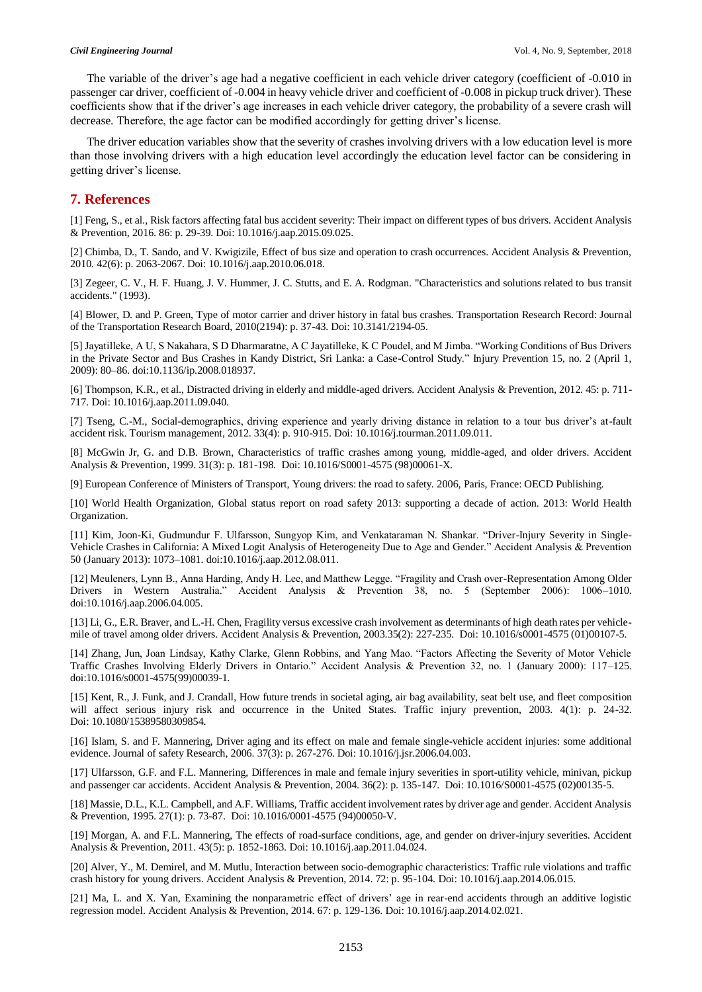The variable of the driver's age had a negative coefficient in each vehicle driver category (coefficient of -0.010 in passenger car driver, coefficient of -0.004 in heavy vehicle driver and coefficient of -0.008 in pickup truck driver). These coefficients show that if the driver's age increases in each vehicle driver category, the probability of a severe crash will decrease. Therefore, the age factor can be modified accordingly for getting driver's license.

The driver education variables show that the severity of crashes involving drivers with a low education level is more than those involving drivers with a high education level accordingly the education level factor can be considering in getting driver's license.

### **7. References**

[1] Feng, S., et al., Risk factors affecting fatal bus accident severity: Their impact on different types of bus drivers. Accident Analysis & Prevention, 2016. 86: p. 29-39. Doi: 10.1016/j.aap.2015.09.025.

[2] Chimba, D., T. Sando, and V. Kwigizile, Effect of bus size and operation to crash occurrences. Accident Analysis & Prevention, 2010. 42(6): p. 2063-2067. Doi: 10.1016/j.aap.2010.06.018.

[3] Zegeer, C. V., H. F. Huang, J. V. Hummer, J. C. Stutts, and E. A. Rodgman. "Characteristics and solutions related to bus transit accidents." (1993).

[4] Blower, D. and P. Green, Type of motor carrier and driver history in fatal bus crashes. Transportation Research Record: Journal of the Transportation Research Board, 2010(2194): p. 37-43. Doi: 10.3141/2194-05.

[5] Jayatilleke, A U, S Nakahara, S D Dharmaratne, A C Jayatilleke, K C Poudel, and M Jimba. "Working Conditions of Bus Drivers in the Private Sector and Bus Crashes in Kandy District, Sri Lanka: a Case-Control Study." Injury Prevention 15, no. 2 (April 1, 2009): 80–86. doi:10.1136/ip.2008.018937.

[6] Thompson, K.R., et al., Distracted driving in elderly and middle-aged drivers. Accident Analysis & Prevention, 2012. 45: p. 711- 717. Doi: 10.1016/j.aap.2011.09.040.

[7] Tseng, C.-M., Social-demographics, driving experience and yearly driving distance in relation to a tour bus driver's at-fault accident risk. Tourism management, 2012. 33(4): p. 910-915. Doi: 10.1016/j.tourman.2011.09.011.

[8] McGwin Jr, G. and D.B. Brown, Characteristics of traffic crashes among young, middle-aged, and older drivers. Accident Analysis & Prevention, 1999. 31(3): p. 181-198[. Doi: 10.1016/S0001-4575](https://doi.org/10.1016/S0001-4575) (98)00061-X.

[9] European Conference of Ministers of Transport, Young drivers: the road to safety. 2006, Paris, France: OECD Publishing.

[10] World Health Organization, Global status report on road safety 2013: supporting a decade of action. 2013: World Health Organization.

[11] Kim, Joon-Ki, Gudmundur F. Ulfarsson, Sungyop Kim, and Venkataraman N. Shankar. "Driver-Injury Severity in Single-Vehicle Crashes in California: A Mixed Logit Analysis of Heterogeneity Due to Age and Gender." Accident Analysis & Prevention 50 (January 2013): 1073–1081. doi:10.1016/j.aap.2012.08.011.

[12] Meuleners, Lynn B., Anna Harding, Andy H. Lee, and Matthew Legge. "Fragility and Crash over-Representation Among Older Drivers in Western Australia." Accident Analysis & Prevention 38, no. 5 (September 2006): 1006–1010. doi:10.1016/j.aap.2006.04.005.

[13] Li, G., E.R. Braver, and L.-H. Chen, Fragility versus excessive crash involvement as determinants of high death rates per vehiclemile of travel among older drivers. Accident Analysis & Prevention, 2003.35(2): 227-235[. Doi: 10.1016/s0001-4575](https://doi.org/10.1016/s0001-4575) (01)00107-5.

[14] Zhang, Jun, Joan Lindsay, Kathy Clarke, Glenn Robbins, and Yang Mao. "Factors Affecting the Severity of Motor Vehicle Traffic Crashes Involving Elderly Drivers in Ontario." Accident Analysis & Prevention 32, no. 1 (January 2000): 117–125. doi:10.1016/s0001-4575(99)00039-1.

[15] Kent, R., J. Funk, and J. Crandall, How future trends in societal aging, air bag availability, seat belt use, and fleet composition will affect serious injury risk and occurrence in the United States. Traffic injury prevention, 2003. 4(1): p. 24-32. Doi: 10.1080/15389580309854.

[16] Islam, S. and F. Mannering, Driver aging and its effect on male and female single-vehicle accident injuries: some additional evidence. Journal of safety Research, 2006. 37(3): p. 267-276. Doi: 10.1016/j.jsr.2006.04.003.

[17] Ulfarsson, G.F. and F.L. Mannering, Differences in male and female injury severities in sport-utility vehicle, minivan, pickup and passenger car accidents. Accident Analysis & Prevention, 2004. 36(2): p. 135-147. [Doi: 10.1016/S0001-4575](https://doi.org/10.1016/S0001-4575) (02)00135-5.

[18] Massie, D.L., K.L. Campbell, and A.F. Williams, Traffic accident involvement rates by driver age and gender. Accident Analysis & Prevention, 1995. 27(1): p. 73-87[. Doi: 10.1016/0001-4575](https://doi.org/10.1016/0001-4575) (94)00050-V.

[19] Morgan, A. and F.L. Mannering, The effects of road-surface conditions, age, and gender on driver-injury severities. Accident Analysis & Prevention, 2011. 43(5): p. 1852-1863. Doi: 10.1016/j.aap.2011.04.024.

[20] Alver, Y., M. Demirel, and M. Mutlu, Interaction between socio-demographic characteristics: Traffic rule violations and traffic crash history for young drivers. Accident Analysis & Prevention, 2014. 72: p. 95-104. Doi: 10.1016/j.aap.2014.06.015.

[21] Ma, L. and X. Yan, Examining the nonparametric effect of drivers' age in rear-end accidents through an additive logistic regression model. Accident Analysis & Prevention, 2014. 67: p. 129-136. Doi: 10.1016/j.aap.2014.02.021.